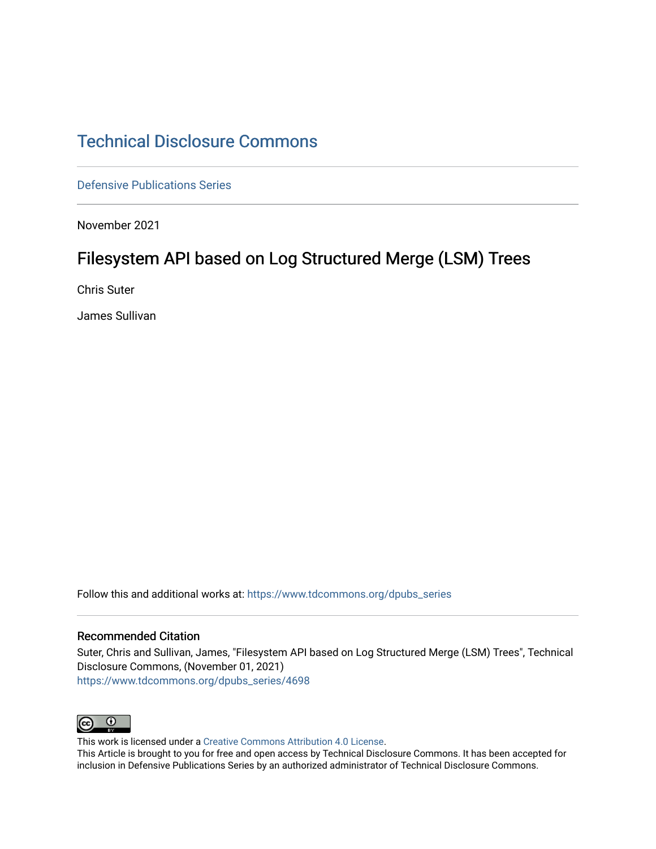# [Technical Disclosure Commons](https://www.tdcommons.org/)

[Defensive Publications Series](https://www.tdcommons.org/dpubs_series)

November 2021

# Filesystem API based on Log Structured Merge (LSM) Trees

Chris Suter

James Sullivan

Follow this and additional works at: [https://www.tdcommons.org/dpubs\\_series](https://www.tdcommons.org/dpubs_series?utm_source=www.tdcommons.org%2Fdpubs_series%2F4698&utm_medium=PDF&utm_campaign=PDFCoverPages) 

#### Recommended Citation

Suter, Chris and Sullivan, James, "Filesystem API based on Log Structured Merge (LSM) Trees", Technical Disclosure Commons, (November 01, 2021) [https://www.tdcommons.org/dpubs\\_series/4698](https://www.tdcommons.org/dpubs_series/4698?utm_source=www.tdcommons.org%2Fdpubs_series%2F4698&utm_medium=PDF&utm_campaign=PDFCoverPages)



This work is licensed under a [Creative Commons Attribution 4.0 License](http://creativecommons.org/licenses/by/4.0/deed.en_US).

This Article is brought to you for free and open access by Technical Disclosure Commons. It has been accepted for inclusion in Defensive Publications Series by an authorized administrator of Technical Disclosure Commons.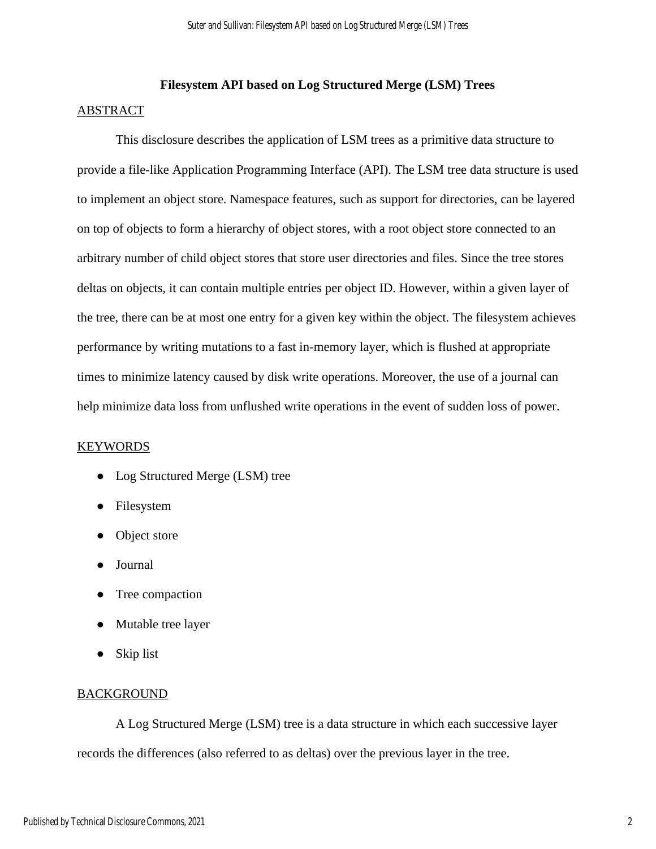# **Filesystem API based on Log Structured Merge (LSM) Trees**

## ABSTRACT

This disclosure describes the application of LSM trees as a primitive data structure to provide a file-like Application Programming Interface (API). The LSM tree data structure is used to implement an object store. Namespace features, such as support for directories, can be layered on top of objects to form a hierarchy of object stores, with a root object store connected to an arbitrary number of child object stores that store user directories and files. Since the tree stores deltas on objects, it can contain multiple entries per object ID. However, within a given layer of the tree, there can be at most one entry for a given key within the object. The filesystem achieves performance by writing mutations to a fast in-memory layer, which is flushed at appropriate times to minimize latency caused by disk write operations. Moreover, the use of a journal can help minimize data loss from unflushed write operations in the event of sudden loss of power.

# KEYWORDS

- Log Structured Merge (LSM) tree
- Filesystem
- Object store
- Journal
- Tree compaction
- Mutable tree layer
- Skip list

# **BACKGROUND**

A Log Structured Merge (LSM) tree is a data structure in which each successive layer records the differences (also referred to as deltas) over the previous layer in the tree.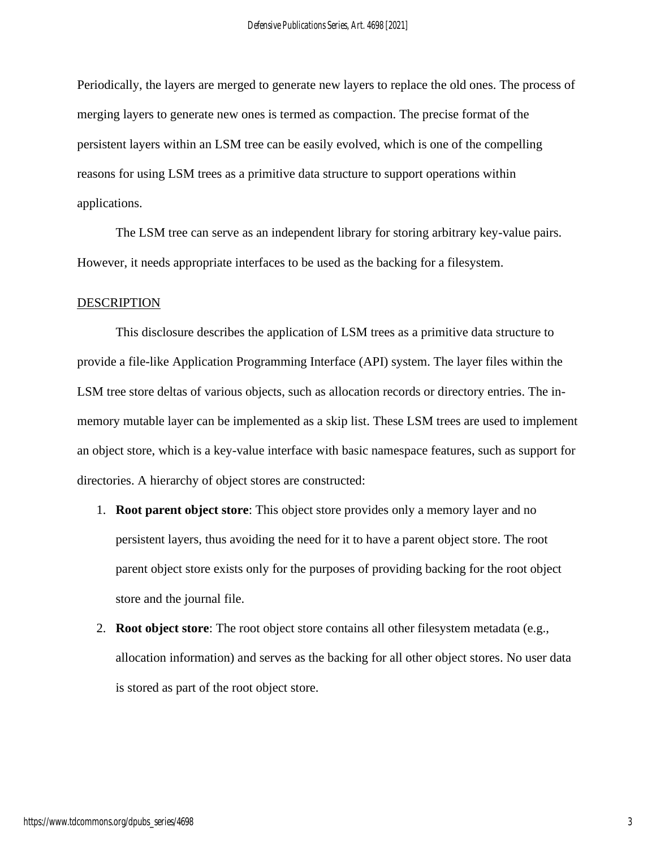Periodically, the layers are merged to generate new layers to replace the old ones. The process of merging layers to generate new ones is termed as compaction. The precise format of the persistent layers within an LSM tree can be easily evolved, which is one of the compelling reasons for using LSM trees as a primitive data structure to support operations within applications.

The LSM tree can serve as an independent library for storing arbitrary key-value pairs. However, it needs appropriate interfaces to be used as the backing for a filesystem.

#### DESCRIPTION

This disclosure describes the application of LSM trees as a primitive data structure to provide a file-like Application Programming Interface (API) system. The layer files within the LSM tree store deltas of various objects, such as allocation records or directory entries. The inmemory mutable layer can be implemented as a skip list. These LSM trees are used to implement an object store, which is a key-value interface with basic namespace features, such as support for directories. A hierarchy of object stores are constructed:

- 1. **Root parent object store**: This object store provides only a memory layer and no persistent layers, thus avoiding the need for it to have a parent object store. The root parent object store exists only for the purposes of providing backing for the root object store and the journal file.
- 2. **Root object store**: The root object store contains all other filesystem metadata (e.g., allocation information) and serves as the backing for all other object stores. No user data is stored as part of the root object store.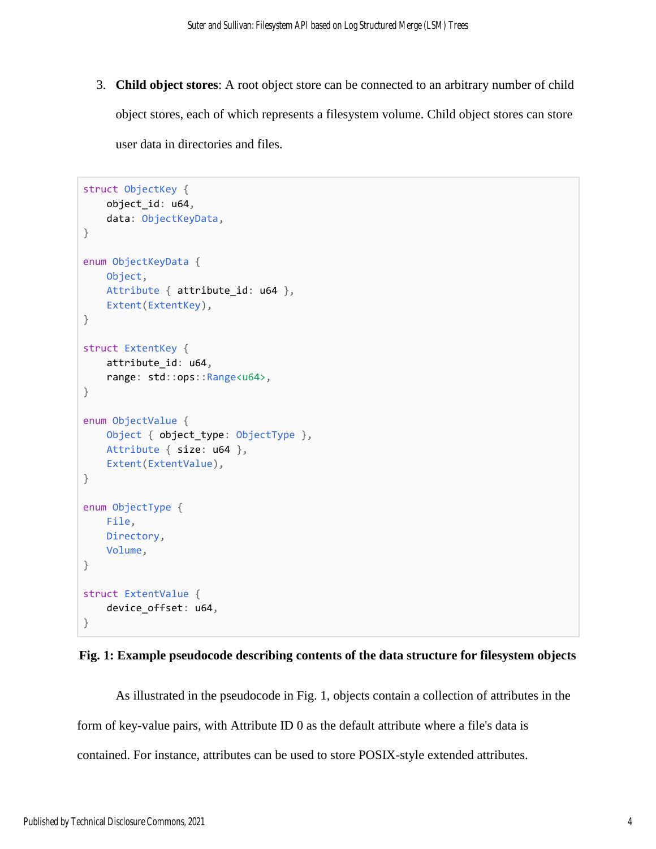3. **Child object stores**: A root object store can be connected to an arbitrary number of child object stores, each of which represents a filesystem volume. Child object stores can store user data in directories and files.

```
struct ObjectKey {
     object_id: u64,
     data: ObjectKeyData,
}
enum ObjectKeyData {
    Object,
    Attribute { attribute_id: u64 },
    Extent(ExtentKey),
}
struct ExtentKey {
     attribute_id: u64,
     range: std::ops::Range<u64>,
}
enum ObjectValue {
   Object { object type: ObjectType },
    Attribute { size: u64 },
     Extent(ExtentValue),
}
enum ObjectType {
    File,
    Directory,
    Volume,
}
struct ExtentValue {
     device_offset: u64,
}
```


As illustrated in the pseudocode in Fig. 1, objects contain a collection of attributes in the form of key-value pairs, with Attribute ID 0 as the default attribute where a file's data is contained. For instance, attributes can be used to store POSIX-style extended attributes.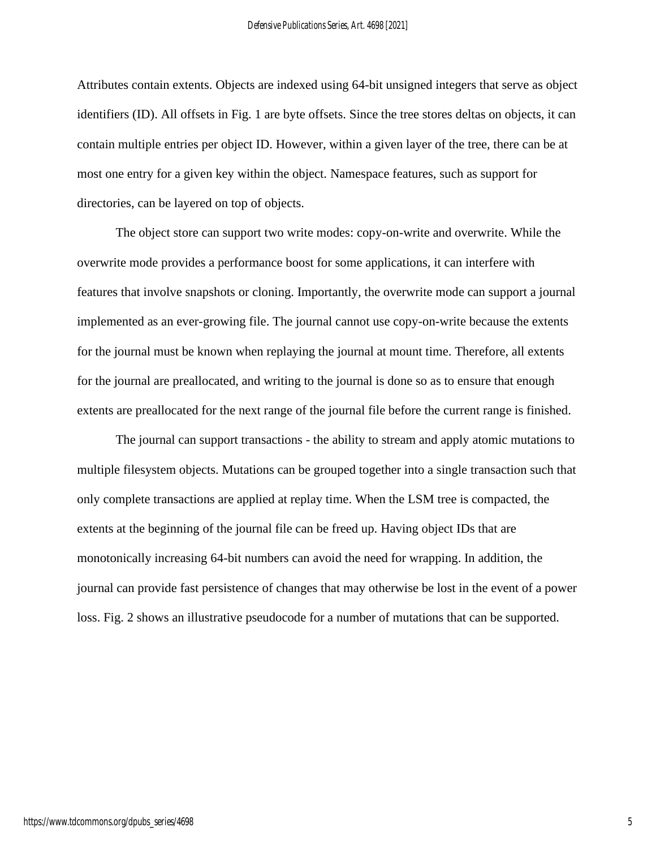Attributes contain extents. Objects are indexed using 64-bit unsigned integers that serve as object identifiers (ID). All offsets in Fig. 1 are byte offsets. Since the tree stores deltas on objects, it can contain multiple entries per object ID. However, within a given layer of the tree, there can be at most one entry for a given key within the object. Namespace features, such as support for directories, can be layered on top of objects.

The object store can support two write modes: copy-on-write and overwrite. While the overwrite mode provides a performance boost for some applications, it can interfere with features that involve snapshots or cloning. Importantly, the overwrite mode can support a journal implemented as an ever-growing file. The journal cannot use copy-on-write because the extents for the journal must be known when replaying the journal at mount time. Therefore, all extents for the journal are preallocated, and writing to the journal is done so as to ensure that enough extents are preallocated for the next range of the journal file before the current range is finished.

The journal can support transactions - the ability to stream and apply atomic mutations to multiple filesystem objects. Mutations can be grouped together into a single transaction such that only complete transactions are applied at replay time. When the LSM tree is compacted, the extents at the beginning of the journal file can be freed up. Having object IDs that are monotonically increasing 64-bit numbers can avoid the need for wrapping. In addition, the journal can provide fast persistence of changes that may otherwise be lost in the event of a power loss. Fig. 2 shows an illustrative pseudocode for a number of mutations that can be supported.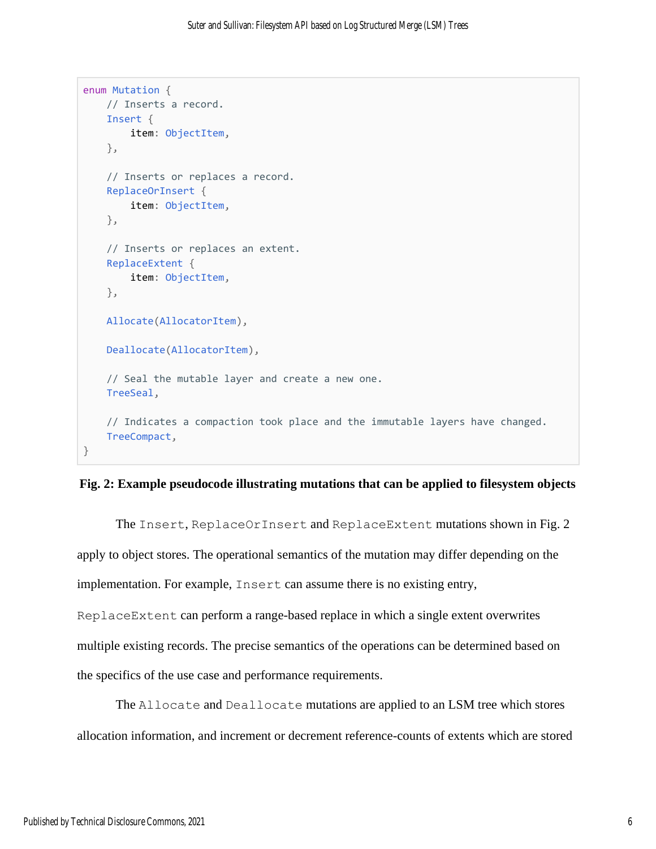```
enum Mutation {
    // Inserts a record.
     Insert {
         item: ObjectItem,
     },
     // Inserts or replaces a record.
     ReplaceOrInsert {
         item: ObjectItem,
     },
     // Inserts or replaces an extent.
     ReplaceExtent {
         item: ObjectItem,
     },
    Allocate(AllocatorItem),
    Deallocate(AllocatorItem),
     // Seal the mutable layer and create a new one.
     TreeSeal,
    // Indicates a compaction took place and the immutable layers have changed.
     TreeCompact,
}
```
# **Fig. 2: Example pseudocode illustrating mutations that can be applied to filesystem objects**

The Insert, ReplaceOrInsert and ReplaceExtent mutations shown in Fig. 2 apply to object stores. The operational semantics of the mutation may differ depending on the implementation. For example, Insert can assume there is no existing entry, ReplaceExtent can perform a range-based replace in which a single extent overwrites multiple existing records. The precise semantics of the operations can be determined based on the specifics of the use case and performance requirements.

The Allocate and Deallocate mutations are applied to an LSM tree which stores allocation information, and increment or decrement reference-counts of extents which are stored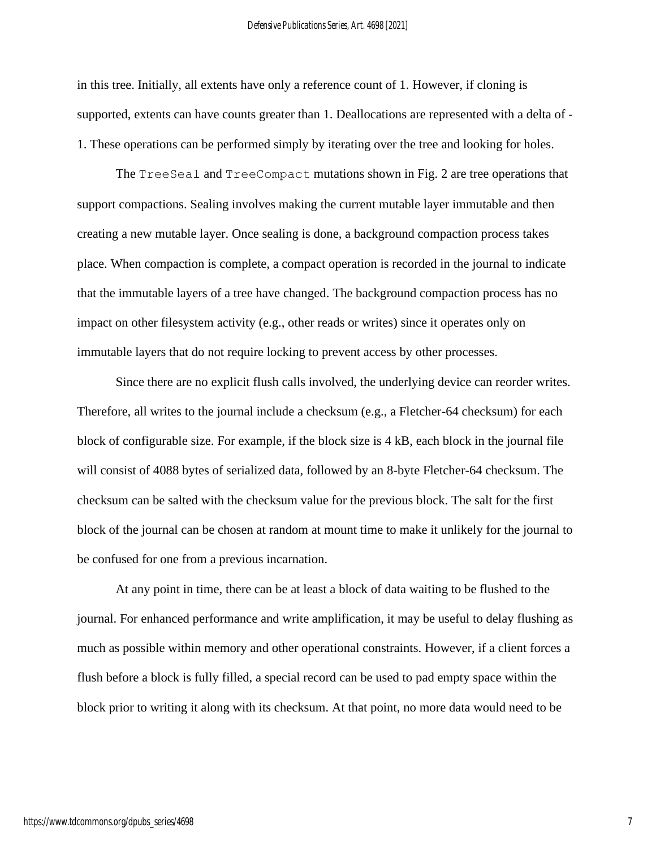in this tree. Initially, all extents have only a reference count of 1. However, if cloning is supported, extents can have counts greater than 1. Deallocations are represented with a delta of - 1. These operations can be performed simply by iterating over the tree and looking for holes.

The TreeSeal and TreeCompact mutations shown in Fig. 2 are tree operations that support compactions. Sealing involves making the current mutable layer immutable and then creating a new mutable layer. Once sealing is done, a background compaction process takes place. When compaction is complete, a compact operation is recorded in the journal to indicate that the immutable layers of a tree have changed. The background compaction process has no impact on other filesystem activity (e.g., other reads or writes) since it operates only on immutable layers that do not require locking to prevent access by other processes.

Since there are no explicit flush calls involved, the underlying device can reorder writes. Therefore, all writes to the journal include a checksum (e.g., a Fletcher-64 checksum) for each block of configurable size. For example, if the block size is 4 kB, each block in the journal file will consist of 4088 bytes of serialized data, followed by an 8-byte Fletcher-64 checksum. The checksum can be salted with the checksum value for the previous block. The salt for the first block of the journal can be chosen at random at mount time to make it unlikely for the journal to be confused for one from a previous incarnation.

At any point in time, there can be at least a block of data waiting to be flushed to the journal. For enhanced performance and write amplification, it may be useful to delay flushing as much as possible within memory and other operational constraints. However, if a client forces a flush before a block is fully filled, a special record can be used to pad empty space within the block prior to writing it along with its checksum. At that point, no more data would need to be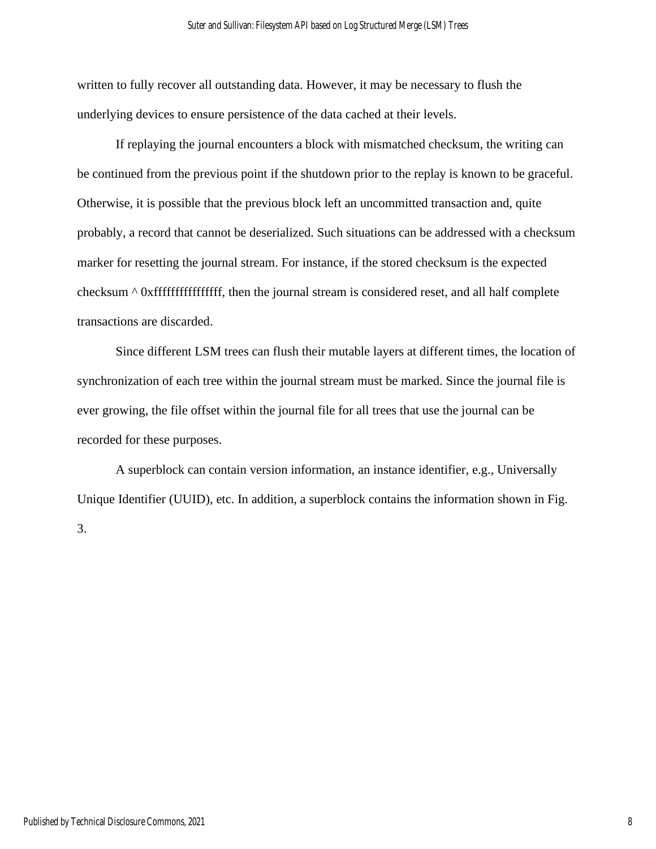written to fully recover all outstanding data. However, it may be necessary to flush the underlying devices to ensure persistence of the data cached at their levels.

If replaying the journal encounters a block with mismatched checksum, the writing can be continued from the previous point if the shutdown prior to the replay is known to be graceful. Otherwise, it is possible that the previous block left an uncommitted transaction and, quite probably, a record that cannot be deserialized. Such situations can be addressed with a checksum marker for resetting the journal stream. For instance, if the stored checksum is the expected checksum ^ 0xffffffffffffffff, then the journal stream is considered reset, and all half complete transactions are discarded.

Since different LSM trees can flush their mutable layers at different times, the location of synchronization of each tree within the journal stream must be marked. Since the journal file is ever growing, the file offset within the journal file for all trees that use the journal can be recorded for these purposes.

A superblock can contain version information, an instance identifier, e.g., Universally Unique Identifier (UUID), etc. In addition, a superblock contains the information shown in Fig. 3.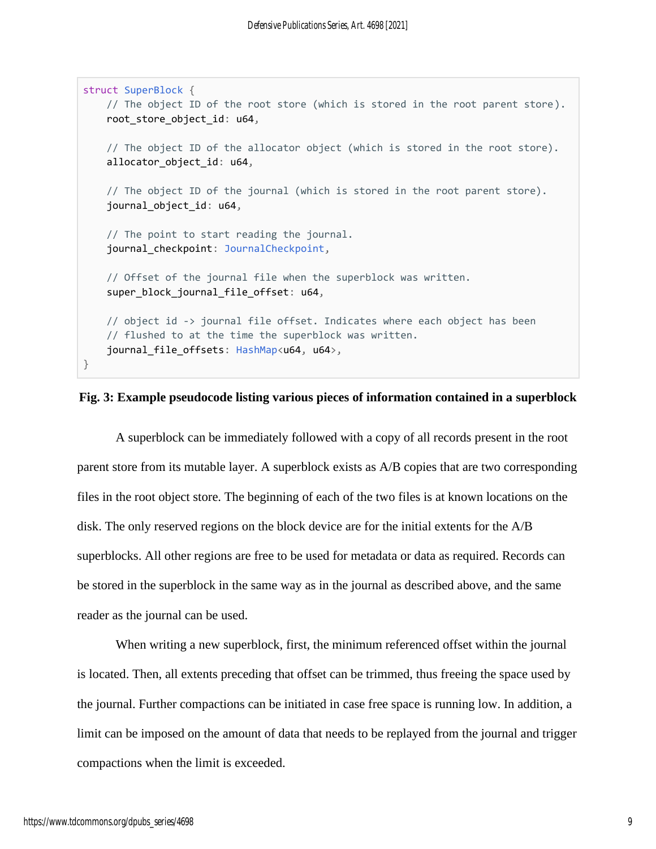```
struct SuperBlock {
    // The object ID of the root store (which is stored in the root parent store).
     root_store_object_id: u64,
     // The object ID of the allocator object (which is stored in the root store).
     allocator_object_id: u64,
    // The object ID of the journal (which is stored in the root parent store).
     journal_object_id: u64,
     // The point to start reading the journal.
    journal checkpoint: JournalCheckpoint,
     // Offset of the journal file when the superblock was written.
     super_block_journal_file_offset: u64,
    // object id -> journal file offset. Indicates where each object has been
     // flushed to at the time the superblock was written.
    journal file offsets: HashMap<u64, u64>,
}
```
## **Fig. 3: Example pseudocode listing various pieces of information contained in a superblock**

A superblock can be immediately followed with a copy of all records present in the root parent store from its mutable layer. A superblock exists as A/B copies that are two corresponding files in the root object store. The beginning of each of the two files is at known locations on the disk. The only reserved regions on the block device are for the initial extents for the A/B superblocks. All other regions are free to be used for metadata or data as required. Records can be stored in the superblock in the same way as in the journal as described above, and the same reader as the journal can be used.

When writing a new superblock, first, the minimum referenced offset within the journal is located. Then, all extents preceding that offset can be trimmed, thus freeing the space used by the journal. Further compactions can be initiated in case free space is running low. In addition, a limit can be imposed on the amount of data that needs to be replayed from the journal and trigger compactions when the limit is exceeded.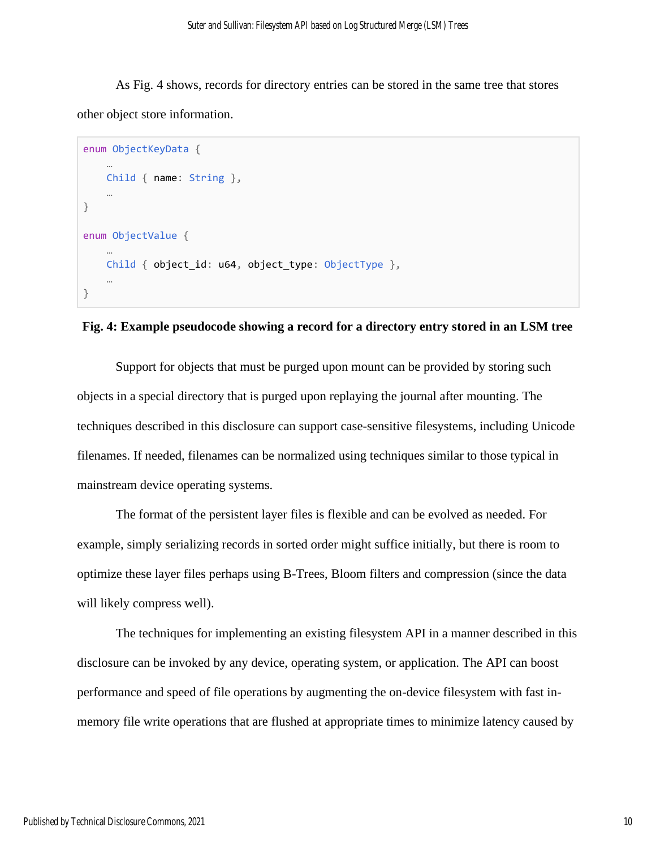As Fig. 4 shows, records for directory entries can be stored in the same tree that stores other object store information.

```
enum ObjectKeyData {
 …
    Child { name: String },
 …
}
enum ObjectValue {
 …
    Child { object_id: u64, object_type: ObjectType },
 …
}
```
### **Fig. 4: Example pseudocode showing a record for a directory entry stored in an LSM tree**

Support for objects that must be purged upon mount can be provided by storing such objects in a special directory that is purged upon replaying the journal after mounting. The techniques described in this disclosure can support case-sensitive filesystems, including Unicode filenames. If needed, filenames can be normalized using techniques similar to those typical in mainstream device operating systems.

The format of the persistent layer files is flexible and can be evolved as needed. For example, simply serializing records in sorted order might suffice initially, but there is room to optimize these layer files perhaps using B-Trees, Bloom filters and compression (since the data will likely compress well).

The techniques for implementing an existing filesystem API in a manner described in this disclosure can be invoked by any device, operating system, or application. The API can boost performance and speed of file operations by augmenting the on-device filesystem with fast inmemory file write operations that are flushed at appropriate times to minimize latency caused by